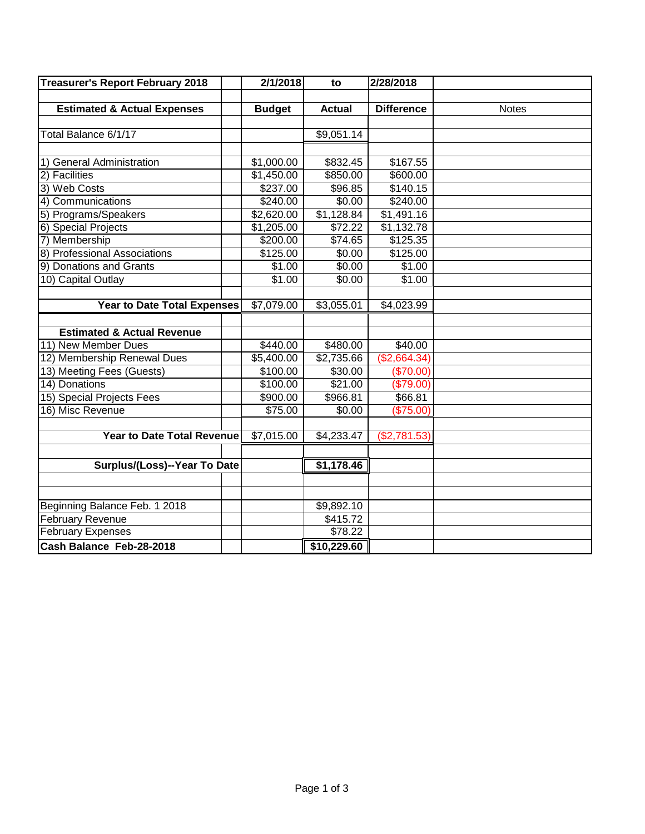| <b>Treasurer's Report February 2018</b> | 2/1/2018      | to            | 2/28/2018         |              |
|-----------------------------------------|---------------|---------------|-------------------|--------------|
|                                         |               |               |                   |              |
| <b>Estimated &amp; Actual Expenses</b>  | <b>Budget</b> | <b>Actual</b> | <b>Difference</b> | <b>Notes</b> |
|                                         |               |               |                   |              |
| Total Balance 6/1/17                    |               | \$9,051.14    |                   |              |
|                                         |               |               |                   |              |
| 1) General Administration               | \$1,000.00    | \$832.45      | \$167.55          |              |
| 2) Facilities                           | \$1,450.00    | \$850.00      | \$600.00          |              |
| 3) Web Costs                            | \$237.00      | \$96.85       | \$140.15          |              |
| 4) Communications                       | \$240.00      | \$0.00        | \$240.00          |              |
| 5) Programs/Speakers                    | \$2,620.00    | \$1,128.84    | \$1,491.16        |              |
| 6) Special Projects                     | \$1,205.00    | \$72.22       | \$1,132.78        |              |
| 7) Membership                           | \$200.00      | \$74.65       | \$125.35          |              |
| 8) Professional Associations            | \$125.00      | \$0.00        | \$125.00          |              |
| 9) Donations and Grants                 | \$1.00        | \$0.00        | \$1.00            |              |
| 10) Capital Outlay                      | \$1.00        | \$0.00        | \$1.00            |              |
|                                         |               |               |                   |              |
| <b>Year to Date Total Expenses</b>      | \$7,079.00    | \$3,055.01    | \$4,023.99        |              |
|                                         |               |               |                   |              |
| <b>Estimated &amp; Actual Revenue</b>   |               |               |                   |              |
| 11) New Member Dues                     | \$440.00      | \$480.00      | \$40.00           |              |
| 12) Membership Renewal Dues             | \$5,400.00    | \$2,735.66    | (\$2,664.34)      |              |
| 13) Meeting Fees (Guests)               | \$100.00      | \$30.00       | (\$70.00)         |              |
| 14) Donations                           | \$100.00      | \$21.00       | (\$79.00)         |              |
| 15) Special Projects Fees               | \$900.00      | \$966.81      | \$66.81           |              |
| 16) Misc Revenue                        | \$75.00       | \$0.00        | (\$75.00)         |              |
|                                         |               |               |                   |              |
| <b>Year to Date Total Revenue</b>       | \$7,015.00    | \$4,233.47    | (\$2,781.53)      |              |
|                                         |               |               |                   |              |
| Surplus/(Loss)--Year To Date            |               | \$1,178.46    |                   |              |
|                                         |               |               |                   |              |
|                                         |               |               |                   |              |
| Beginning Balance Feb. 1 2018           |               | \$9,892.10    |                   |              |
| <b>February Revenue</b>                 |               | \$415.72      |                   |              |
| <b>February Expenses</b>                |               | \$78.22       |                   |              |
| Cash Balance Feb-28-2018                |               | \$10,229.60   |                   |              |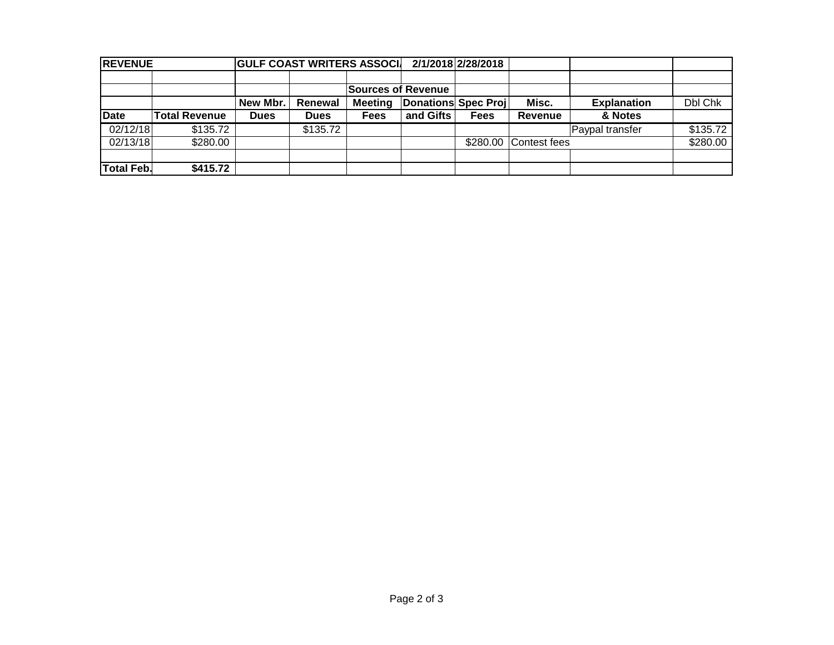| <b>REVENUE</b>    |               |             | <b>GULF COAST WRITERS ASSOCI</b> |                |                            | 2/1/2018 2/28/2018 |              |                    |          |  |
|-------------------|---------------|-------------|----------------------------------|----------------|----------------------------|--------------------|--------------|--------------------|----------|--|
|                   |               |             |                                  |                |                            |                    |              |                    |          |  |
|                   |               |             |                                  |                | <b>Sources of Revenue</b>  |                    |              |                    |          |  |
|                   |               | New Mbr.    | Renewal                          | <b>Meeting</b> | <b>Donations Spec Proj</b> |                    | Misc.        | <b>Explanation</b> | Dbl Chk  |  |
| <b>Date</b>       | Total Revenue | <b>Dues</b> | <b>Dues</b>                      | <b>Fees</b>    | and Gifts                  | <b>Fees</b>        | Revenue      | & Notes            |          |  |
| 02/12/18          | \$135.72      |             | \$135.72                         |                |                            |                    |              | Paypal transfer    | \$135.72 |  |
| 02/13/18          | \$280.00      |             |                                  |                |                            | \$280.00           | Contest fees |                    | \$280.00 |  |
|                   |               |             |                                  |                |                            |                    |              |                    |          |  |
| <b>Total Feb.</b> | \$415.72      |             |                                  |                |                            |                    |              |                    |          |  |